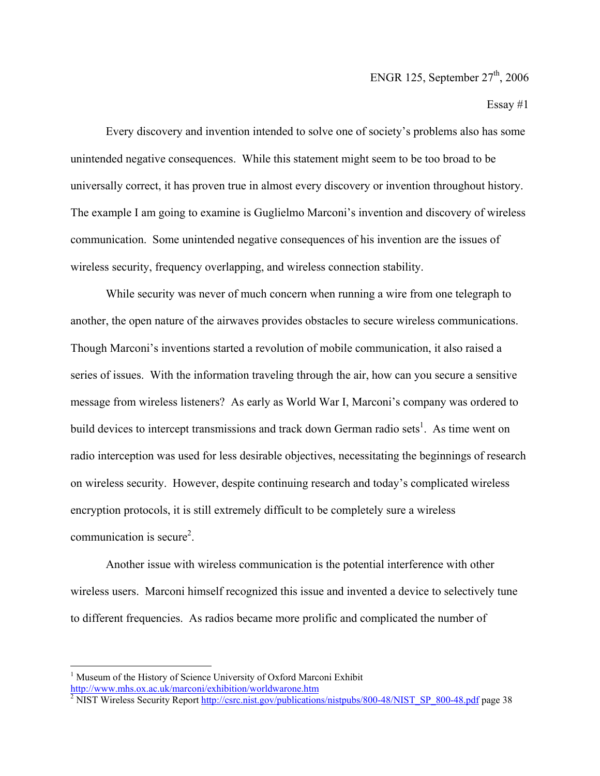Essay #1

 Every discovery and invention intended to solve one of society's problems also has some unintended negative consequences. While this statement might seem to be too broad to be universally correct, it has proven true in almost every discovery or invention throughout history. The example I am going to examine is Guglielmo Marconi's invention and discovery of wireless communication. Some unintended negative consequences of his invention are the issues of wireless security, frequency overlapping, and wireless connection stability.

 While security was never of much concern when running a wire from one telegraph to another, the open nature of the airwaves provides obstacles to secure wireless communications. Though Marconi's inventions started a revolution of mobile communication, it also raised a series of issues. With the information traveling through the air, how can you secure a sensitive message from wireless listeners? As early as World War I, Marconi's company was ordered to build devices to intercept transmissions and track down German radio sets<sup>[1](#page-0-0)</sup>. As time went on radio interception was used for less desirable objectives, necessitating the beginnings of research on wireless security. However, despite continuing research and today's complicated wireless encryption protocols, it is still extremely difficult to be completely sure a wireless communication is secure<sup>2</sup>.

 Another issue with wireless communication is the potential interference with other wireless users. Marconi himself recognized this issue and invented a device to selectively tune to different frequencies. As radios became more prolific and complicated the number of

 $\overline{a}$ 

<span id="page-0-0"></span><sup>&</sup>lt;sup>1</sup> Museum of the History of Science University of Oxford Marconi Exhibit

<span id="page-0-1"></span>http://www.mhs.ox.ac.uk/marconi/exhibition/worldwarone.htm<br><sup>2</sup> NIST Wireless Security Report <u>[http://csrc.nist.gov/publications/nistpubs/800-48/NIST\\_SP\\_800-48.pdf](http://csrc.nist.gov/publications/nistpubs/800-48/NIST_SP_800-48.pdf)</u> page 38